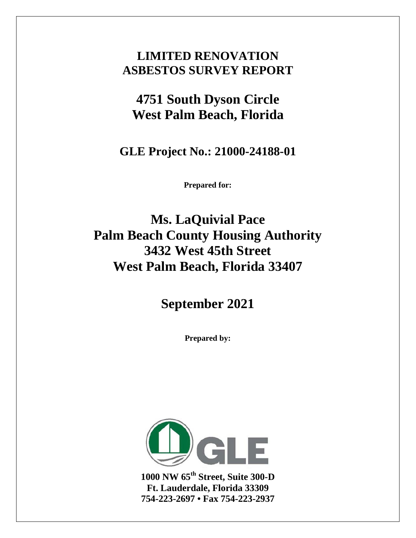### **LIMITED RENOVATION ASBESTOS SURVEY REPORT**

### **4751 South Dyson Circle West Palm Beach, Florida**

**GLE Project No.: 21000-24188-01**

**Prepared for:**

**Ms. LaQuivial Pace Palm Beach County Housing Authority 3432 West 45th Street West Palm Beach, Florida 33407**

**September 2021**

**Prepared by:**



**1000 NW 65th Street, Suite 300-D Ft. Lauderdale, Florida 33309 754-223-2697 • Fax 754-223-2937**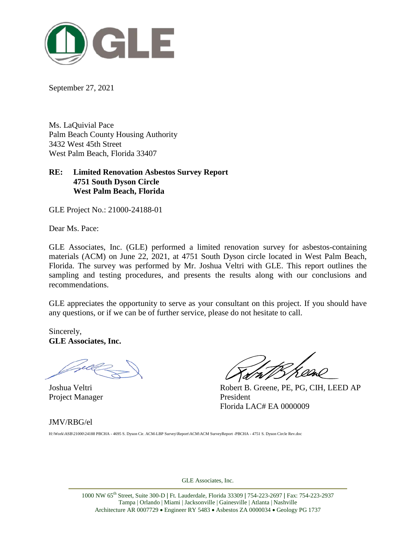

September 27, 2021

Ms. LaQuivial Pace Palm Beach County Housing Authority 3432 West 45th Street West Palm Beach, Florida 33407

#### **RE: Limited Renovation Asbestos Survey Report 4751 South Dyson Circle West Palm Beach, Florida**

GLE Project No.: 21000-24188-01

Dear Ms. Pace:

GLE Associates, Inc. (GLE) performed a limited renovation survey for asbestos-containing materials (ACM) on June 22, 2021, at 4751 South Dyson circle located in West Palm Beach, Florida. The survey was performed by Mr. Joshua Veltri with GLE. This report outlines the sampling and testing procedures, and presents the results along with our conclusions and recommendations.

GLE appreciates the opportunity to serve as your consultant on this project. If you should have any questions, or if we can be of further service, please do not hesitate to call.

Sincerely, **GLE Associates, Inc.**

Project Manager President

Joshua Veltri Robert B. Greene, PE, PG, CIH, LEED AP Florida LAC# EA 0000009

#### JMV/RBG/el

H:\Work\ASB\21000\24188 PBCHA - 4695 S. Dyson Cir. ACM-LBP Survey\Report\ACM\ACM SurveyReport -PBCHA - 4751 S. Dyson Circle Rev.doc

GLE Associates, Inc.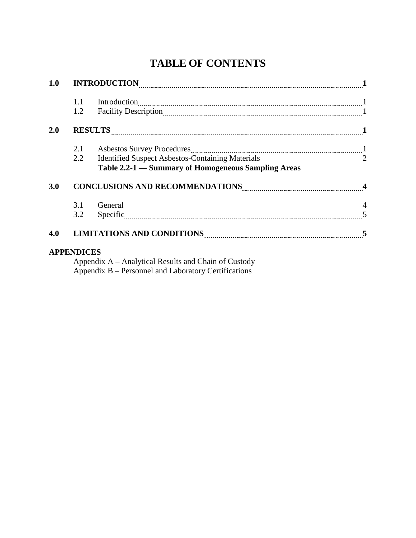### **TABLE OF CONTENTS**

| 1.0 |                   |                                                                                                                                                                                                                                                                                                                                                                                                                                                                                                                                                             |  |  |  |  |  |  |  |
|-----|-------------------|-------------------------------------------------------------------------------------------------------------------------------------------------------------------------------------------------------------------------------------------------------------------------------------------------------------------------------------------------------------------------------------------------------------------------------------------------------------------------------------------------------------------------------------------------------------|--|--|--|--|--|--|--|
|     | 1.1               | $\label{eq:1} \text{Introduction} \underset{\text{num}{\text{min}}}{\text{min}} \quad \text{min} \quad \text{min} \quad \text{min} \quad \text{min} \quad \text{min} \quad \text{min} \quad \text{min} \quad \text{min} \quad \text{min} \quad \text{min} \quad \text{min} \quad \text{min} \quad \text{min} \quad \text{min} \quad \text{min} \quad \text{min} \quad \text{min} \quad \text{min} \quad \text{min} \quad \text{min} \quad \text{min} \quad \text{min} \quad \text{min} \quad \text{min} \quad \text{min} \quad \text{min} \quad \text{min}$ |  |  |  |  |  |  |  |
|     | 1.2               |                                                                                                                                                                                                                                                                                                                                                                                                                                                                                                                                                             |  |  |  |  |  |  |  |
| 2.0 |                   |                                                                                                                                                                                                                                                                                                                                                                                                                                                                                                                                                             |  |  |  |  |  |  |  |
|     | 2.1               |                                                                                                                                                                                                                                                                                                                                                                                                                                                                                                                                                             |  |  |  |  |  |  |  |
|     | $2.2^{\circ}$     | Identified Suspect Asbestos-Containing Materials [11] Materials 2                                                                                                                                                                                                                                                                                                                                                                                                                                                                                           |  |  |  |  |  |  |  |
|     |                   | Table 2.2-1 – Summary of Homogeneous Sampling Areas                                                                                                                                                                                                                                                                                                                                                                                                                                                                                                         |  |  |  |  |  |  |  |
| 3.0 |                   |                                                                                                                                                                                                                                                                                                                                                                                                                                                                                                                                                             |  |  |  |  |  |  |  |
|     |                   | 3.1 General 2000 Contra 2000 Contra 2000 Contra 2000 Contra 2000 Contra 2000 Contra 2000 Contra 2000 Contra 2000 Contra 2000 Contra 2000 Contra 2000 Contra 2000 Contra 2000 Contra 2000 Contra 2000 Contra 2000 Contra 2000 C                                                                                                                                                                                                                                                                                                                              |  |  |  |  |  |  |  |
|     | 3.2               | Specific 5                                                                                                                                                                                                                                                                                                                                                                                                                                                                                                                                                  |  |  |  |  |  |  |  |
| 4.0 |                   | LIMITATIONS AND CONDITIONS Entertainment and the conditions of the conditions of the conditions of the conditions of the conditions of the conditions of the conditions of the conditions of the conditions of the conditions                                                                                                                                                                                                                                                                                                                               |  |  |  |  |  |  |  |
|     | <b>APPENDICES</b> |                                                                                                                                                                                                                                                                                                                                                                                                                                                                                                                                                             |  |  |  |  |  |  |  |

Appendix A – Analytical Results and Chain of Custody Appendix B – Personnel and Laboratory Certifications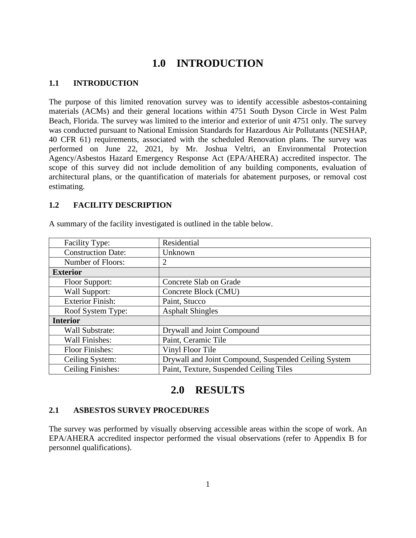#### **1.0 INTRODUCTION**

#### **1.1 INTRODUCTION**

The purpose of this limited renovation survey was to identify accessible asbestos-containing materials (ACMs) and their general locations within 4751 South Dyson Circle in West Palm Beach, Florida. The survey was limited to the interior and exterior of unit 4751 only. The survey was conducted pursuant to National Emission Standards for Hazardous Air Pollutants (NESHAP, 40 CFR 61) requirements, associated with the scheduled Renovation plans. The survey was performed on June 22, 2021, by Mr. Joshua Veltri, an Environmental Protection Agency/Asbestos Hazard Emergency Response Act (EPA/AHERA) accredited inspector. The scope of this survey did not include demolition of any building components, evaluation of architectural plans, or the quantification of materials for abatement purposes, or removal cost estimating.

#### **1.2 FACILITY DESCRIPTION**

| <b>Facility Type:</b>     | Residential                                          |
|---------------------------|------------------------------------------------------|
| <b>Construction Date:</b> | Unknown                                              |
| Number of Floors:         | 2                                                    |
| <b>Exterior</b>           |                                                      |
| Floor Support:            | Concrete Slab on Grade                               |
| Wall Support:             | Concrete Block (CMU)                                 |
| <b>Exterior Finish:</b>   | Paint, Stucco                                        |
| Roof System Type:         | <b>Asphalt Shingles</b>                              |
| <b>Interior</b>           |                                                      |
| Wall Substrate:           | Drywall and Joint Compound                           |
| Wall Finishes:            | Paint, Ceramic Tile                                  |
| <b>Floor Finishes:</b>    | Vinyl Floor Tile                                     |
| Ceiling System:           | Drywall and Joint Compound, Suspended Ceiling System |
| <b>Ceiling Finishes:</b>  | Paint, Texture, Suspended Ceiling Tiles              |

A summary of the facility investigated is outlined in the table below.

#### **2.0 RESULTS**

#### **2.1 ASBESTOS SURVEY PROCEDURES**

The survey was performed by visually observing accessible areas within the scope of work. An EPA/AHERA accredited inspector performed the visual observations (refer to Appendix B for personnel qualifications).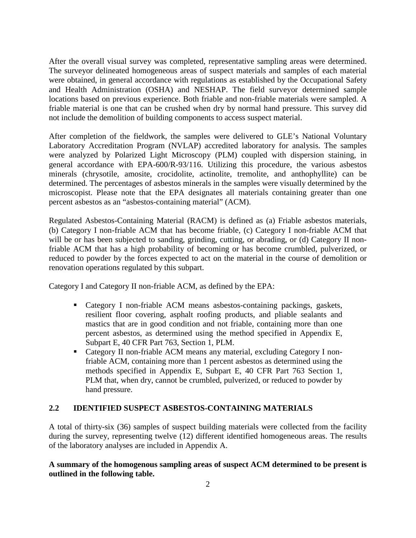After the overall visual survey was completed, representative sampling areas were determined. The surveyor delineated homogeneous areas of suspect materials and samples of each material were obtained, in general accordance with regulations as established by the Occupational Safety and Health Administration (OSHA) and NESHAP. The field surveyor determined sample locations based on previous experience. Both friable and non-friable materials were sampled. A friable material is one that can be crushed when dry by normal hand pressure. This survey did not include the demolition of building components to access suspect material.

After completion of the fieldwork, the samples were delivered to GLE's National Voluntary Laboratory Accreditation Program (NVLAP) accredited laboratory for analysis. The samples were analyzed by Polarized Light Microscopy (PLM) coupled with dispersion staining, in general accordance with EPA-600/R-93/116. Utilizing this procedure, the various asbestos minerals (chrysotile, amosite, crocidolite, actinolite, tremolite, and anthophyllite) can be determined. The percentages of asbestos minerals in the samples were visually determined by the microscopist. Please note that the EPA designates all materials containing greater than one percent asbestos as an "asbestos-containing material" (ACM).

Regulated Asbestos-Containing Material (RACM) is defined as (a) Friable asbestos materials, (b) Category I non-friable ACM that has become friable, (c) Category I non-friable ACM that will be or has been subjected to sanding, grinding, cutting, or abrading, or (d) Category II nonfriable ACM that has a high probability of becoming or has become crumbled, pulverized, or reduced to powder by the forces expected to act on the material in the course of demolition or renovation operations regulated by this subpart.

Category I and Category II non-friable ACM, as defined by the EPA:

- Category I non-friable ACM means asbestos-containing packings, gaskets, resilient floor covering, asphalt roofing products, and pliable sealants and mastics that are in good condition and not friable, containing more than one percent asbestos, as determined using the method specified in Appendix E, Subpart E, 40 CFR Part 763, Section 1, PLM.
- Category II non-friable ACM means any material, excluding Category I nonfriable ACM, containing more than 1 percent asbestos as determined using the methods specified in Appendix E, Subpart E, 40 CFR Part 763 Section 1, PLM that, when dry, cannot be crumbled, pulverized, or reduced to powder by hand pressure.

#### **2.2 IDENTIFIED SUSPECT ASBESTOS-CONTAINING MATERIALS**

A total of thirty-six (36) samples of suspect building materials were collected from the facility during the survey, representing twelve (12) different identified homogeneous areas. The results of the laboratory analyses are included in Appendix A.

**A summary of the homogenous sampling areas of suspect ACM determined to be present is outlined in the following table.**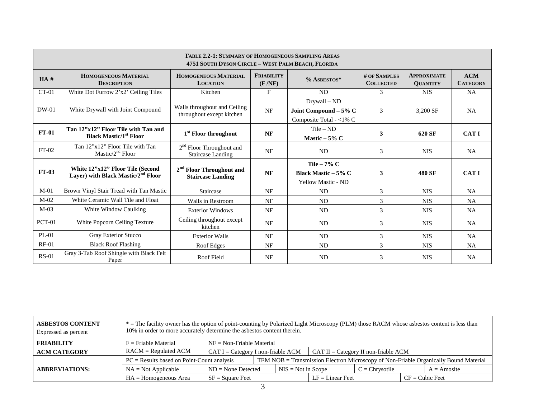|                                                                                                                                                                                                                                       | TABLE 2.2-1: SUMMARY OF HOMOGENEOUS SAMPLING AREAS<br>4751 SOUTH DYSON CIRCLE - WEST PALM BEACH, FLORIDA |                                                           |           |                                                                  |               |               |             |  |
|---------------------------------------------------------------------------------------------------------------------------------------------------------------------------------------------------------------------------------------|----------------------------------------------------------------------------------------------------------|-----------------------------------------------------------|-----------|------------------------------------------------------------------|---------------|---------------|-------------|--|
| # OF SAMPLES<br><b>HOMOGENEOUS MATERIAL</b><br><b>FRIABILITY</b><br><b>HOMOGENEOUS MATERIAL</b><br><b>APPROXIMATE</b><br>HA#<br>% ASBESTOS*<br>(F/NF)<br><b>DESCRIPTION</b><br><b>COLLECTED</b><br><b>LOCATION</b><br><b>QUANTITY</b> |                                                                                                          |                                                           |           |                                                                  |               |               |             |  |
| $CT-01$                                                                                                                                                                                                                               | White Dot Furrow 2'x2' Ceiling Tiles                                                                     | Kitchen                                                   | F         | ND                                                               | $\mathcal{E}$ | <b>NIS</b>    | <b>NA</b>   |  |
| $DW-01$                                                                                                                                                                                                                               | White Drywall with Joint Compound                                                                        | Walls throughout and Ceiling<br>throughout except kitchen | <b>NF</b> | Drywall – ND<br>Joint Compound - 5% C<br>Composite Total - <1% C | 3             | 3,200 SF      | <b>NA</b>   |  |
| <b>FT-01</b>                                                                                                                                                                                                                          | Tan 12"x12" Floor Tile with Tan and<br><b>Black Mastic/1<sup>st</sup> Floor</b>                          | 1 <sup>st</sup> Floor throughout                          | <b>NF</b> | $Tile - ND$<br>Mastic $-5\%$ C                                   | 3             | 620 SF        | <b>CATI</b> |  |
| $FT-02$                                                                                                                                                                                                                               | Tan 12"x12" Floor Tile with Tan<br>Mastic/ $2nd$ Floor                                                   | $2nd$ Floor Throughout and<br><b>Staircase Landing</b>    | <b>NF</b> | <b>ND</b>                                                        | 3             | <b>NIS</b>    | <b>NA</b>   |  |
| <b>FT-03</b>                                                                                                                                                                                                                          | White 12"x12" Floor Tile (Second<br>Layer) with Black Mastic/2 <sup>nd</sup> Floor                       | $2nd$ Floor Throughout and<br><b>Staircase Landing</b>    | NF        | Tile $-7\%$ C<br>Black Mastic $-5\%$ C<br>Yellow Mastic - ND     | 3             | <b>480 SF</b> | <b>CATI</b> |  |
| $M-01$                                                                                                                                                                                                                                | Brown Vinyl Stair Tread with Tan Mastic                                                                  | Staircase                                                 | <b>NF</b> | ND                                                               | 3             | <b>NIS</b>    | <b>NA</b>   |  |
| $M-02$                                                                                                                                                                                                                                | White Ceramic Wall Tile and Float                                                                        | Walls in Restroom                                         | <b>NF</b> | <b>ND</b>                                                        | 3             | <b>NIS</b>    | <b>NA</b>   |  |
| $M-0.3$                                                                                                                                                                                                                               | White Window Caulking                                                                                    | <b>Exterior Windows</b>                                   | <b>NF</b> | ND                                                               | 3             | <b>NIS</b>    | <b>NA</b>   |  |
| $PCT-01$                                                                                                                                                                                                                              | White Popcorn Ceiling Texture                                                                            | Ceiling throughout except<br>kitchen                      | NF        | ND                                                               | 3             | <b>NIS</b>    | <b>NA</b>   |  |
| PL-01                                                                                                                                                                                                                                 | Gray Exterior Stucco                                                                                     | <b>Exterior Walls</b>                                     | <b>NF</b> | <b>ND</b>                                                        | 3             | <b>NIS</b>    | <b>NA</b>   |  |
| $RF-01$                                                                                                                                                                                                                               | <b>Black Roof Flashing</b>                                                                               | Roof Edges                                                | NF        | ND                                                               | 3             | <b>NIS</b>    | <b>NA</b>   |  |
| $RS-01$                                                                                                                                                                                                                               | Gray 3-Tab Roof Shingle with Black Felt<br>Paper                                                         | Roof Field                                                | NF        | ND                                                               | 3             | <b>NIS</b>    | <b>NA</b>   |  |

| <b>ASBESTOS CONTENT</b><br>Expressed as percent | * = The facility owner has the option of point-counting by Polarized Light Microscopy (PLM) those RACM whose asbestos content is less than<br>10% in order to more accurately determine the asbestos content therein. |                                                                                        |  |                      |                                                                                      |                  |                   |               |
|-------------------------------------------------|-----------------------------------------------------------------------------------------------------------------------------------------------------------------------------------------------------------------------|----------------------------------------------------------------------------------------|--|----------------------|--------------------------------------------------------------------------------------|------------------|-------------------|---------------|
| <b>FRIABILITY</b>                               | $F =$ Friable Material<br>$NF = Non-Friable Material$                                                                                                                                                                 |                                                                                        |  |                      |                                                                                      |                  |                   |               |
| <b>ACM CATEGORY</b>                             | $RACM = Regulated ACM$                                                                                                                                                                                                | $CAT I = C \text{ategory I non-friable ACM}$<br>$CAT II = Category II$ non-friable ACM |  |                      |                                                                                      |                  |                   |               |
|                                                 | $PC = Results$ based on Point-Count analysis                                                                                                                                                                          |                                                                                        |  |                      | TEM NOB = Transmission Electron Microscopy of Non-Friable Organically Bound Material |                  |                   |               |
| <b>ABBREVIATIONS:</b>                           | $NA = Not Applicable$                                                                                                                                                                                                 | $ND = None$ Detected                                                                   |  | $NIS = Not in Score$ |                                                                                      | $C =$ Chrysotile |                   | $A = Amosite$ |
|                                                 | $HA = Homogeneous Area$                                                                                                                                                                                               | $SF = Square$ Feet                                                                     |  | $LF = Linear$ Feet   |                                                                                      |                  | $CF = Cubic$ Feet |               |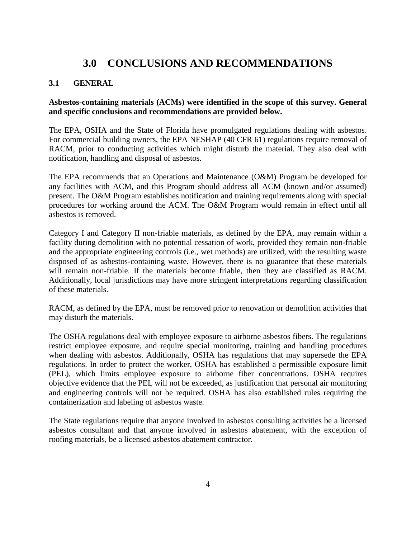#### **3.0 CONCLUSIONS AND RECOMMENDATIONS**

#### **3.1 GENERAL**

#### **Asbestos-containing materials (ACMs) were identified in the scope of this survey. General and specific conclusions and recommendations are provided below.**

The EPA, OSHA and the State of Florida have promulgated regulations dealing with asbestos. For commercial building owners, the EPA NESHAP (40 CFR 61) regulations require removal of RACM, prior to conducting activities which might disturb the material. They also deal with notification, handling and disposal of asbestos.

The EPA recommends that an Operations and Maintenance (O&M) Program be developed for any facilities with ACM, and this Program should address all ACM (known and/or assumed) present. The O&M Program establishes notification and training requirements along with special procedures for working around the ACM. The O&M Program would remain in effect until all asbestos is removed.

Category I and Category II non-friable materials, as defined by the EPA, may remain within a facility during demolition with no potential cessation of work, provided they remain non-friable and the appropriate engineering controls (i.e., wet methods) are utilized, with the resulting waste disposed of as asbestos-containing waste. However, there is no guarantee that these materials will remain non-friable. If the materials become friable, then they are classified as RACM. Additionally, local jurisdictions may have more stringent interpretations regarding classification of these materials.

RACM, as defined by the EPA, must be removed prior to renovation or demolition activities that may disturb the materials.

The OSHA regulations deal with employee exposure to airborne asbestos fibers. The regulations restrict employee exposure, and require special monitoring, training and handling procedures when dealing with asbestos. Additionally, OSHA has regulations that may supersede the EPA regulations. In order to protect the worker, OSHA has established a permissible exposure limit (PEL), which limits employee exposure to airborne fiber concentrations. OSHA requires objective evidence that the PEL will not be exceeded, as justification that personal air monitoring and engineering controls will not be required. OSHA has also established rules requiring the containerization and labeling of asbestos waste.

The State regulations require that anyone involved in asbestos consulting activities be a licensed asbestos consultant and that anyone involved in asbestos abatement, with the exception of roofing materials, be a licensed asbestos abatement contractor.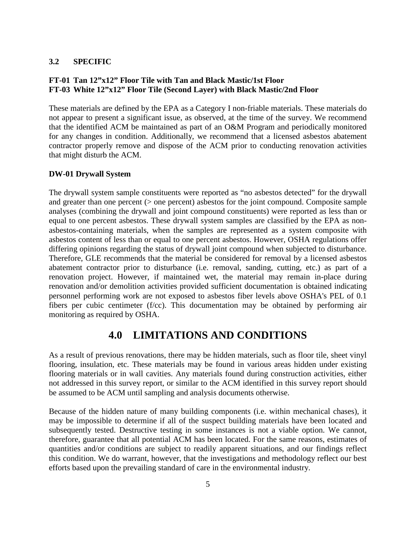#### **3.2 SPECIFIC**

#### **FT-01 Tan 12"x12" Floor Tile with Tan and Black Mastic/1st Floor FT-03 White 12"x12" Floor Tile (Second Layer) with Black Mastic/2nd Floor**

These materials are defined by the EPA as a Category I non-friable materials. These materials do not appear to present a significant issue, as observed, at the time of the survey. We recommend that the identified ACM be maintained as part of an O&M Program and periodically monitored for any changes in condition. Additionally, we recommend that a licensed asbestos abatement contractor properly remove and dispose of the ACM prior to conducting renovation activities that might disturb the ACM.

#### **DW-01 Drywall System**

The drywall system sample constituents were reported as "no asbestos detected" for the drywall and greater than one percent  $($  > one percent) asbestos for the joint compound. Composite sample analyses (combining the drywall and joint compound constituents) were reported as less than or equal to one percent asbestos. These drywall system samples are classified by the EPA as nonasbestos-containing materials, when the samples are represented as a system composite with asbestos content of less than or equal to one percent asbestos. However, OSHA regulations offer differing opinions regarding the status of drywall joint compound when subjected to disturbance. Therefore, GLE recommends that the material be considered for removal by a licensed asbestos abatement contractor prior to disturbance (i.e. removal, sanding, cutting, etc.) as part of a renovation project. However, if maintained wet, the material may remain in-place during renovation and/or demolition activities provided sufficient documentation is obtained indicating personnel performing work are not exposed to asbestos fiber levels above OSHA's PEL of 0.1 fibers per cubic centimeter (f/cc). This documentation may be obtained by performing air monitoring as required by OSHA.

#### **4.0 LIMITATIONS AND CONDITIONS**

As a result of previous renovations, there may be hidden materials, such as floor tile, sheet vinyl flooring, insulation, etc. These materials may be found in various areas hidden under existing flooring materials or in wall cavities. Any materials found during construction activities, either not addressed in this survey report, or similar to the ACM identified in this survey report should be assumed to be ACM until sampling and analysis documents otherwise.

Because of the hidden nature of many building components (i.e. within mechanical chases), it may be impossible to determine if all of the suspect building materials have been located and subsequently tested. Destructive testing in some instances is not a viable option. We cannot, therefore, guarantee that all potential ACM has been located. For the same reasons, estimates of quantities and/or conditions are subject to readily apparent situations, and our findings reflect this condition. We do warrant, however, that the investigations and methodology reflect our best efforts based upon the prevailing standard of care in the environmental industry.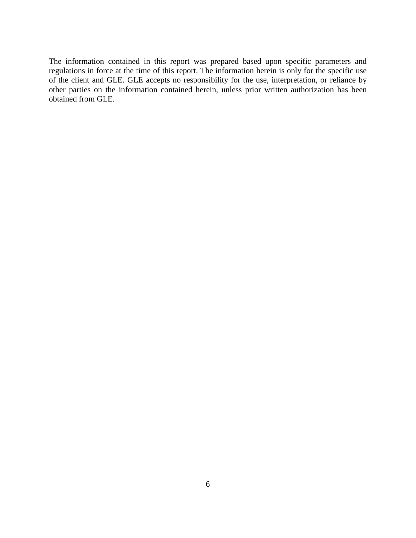The information contained in this report was prepared based upon specific parameters and regulations in force at the time of this report. The information herein is only for the specific use of the client and GLE. GLE accepts no responsibility for the use, interpretation, or reliance by other parties on the information contained herein, unless prior written authorization has been obtained from GLE.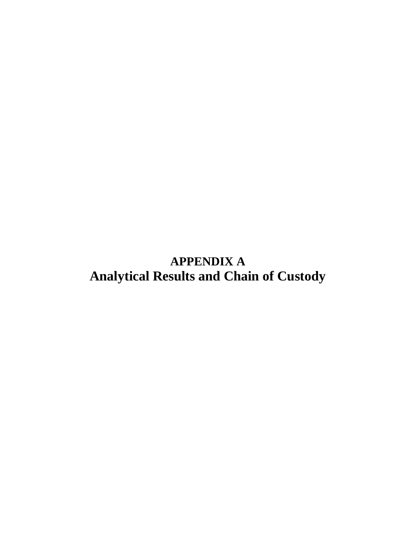**APPENDIX A Analytical Results and Chain of Custody**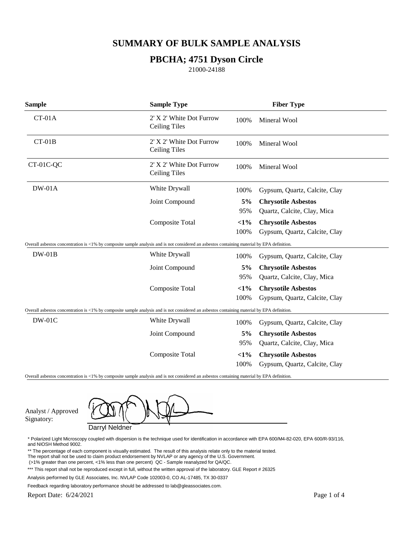#### **PBCHA; 4751 Dyson Circle**

21000-24188

| <b>Sample</b>                                                                                                                               | <b>Sample Type</b>                               |                | <b>Fiber Type</b>                                           |
|---------------------------------------------------------------------------------------------------------------------------------------------|--------------------------------------------------|----------------|-------------------------------------------------------------|
| $CT-01A$                                                                                                                                    | 2' X 2' White Dot Furrow<br><b>Ceiling Tiles</b> | 100%           | Mineral Wool                                                |
| $CT-01B$                                                                                                                                    | 2' X 2' White Dot Furrow<br><b>Ceiling Tiles</b> | 100%           | Mineral Wool                                                |
| CT-01C-QC                                                                                                                                   | 2' X 2' White Dot Furrow<br><b>Ceiling Tiles</b> | 100%           | Mineral Wool                                                |
| $DW-01A$                                                                                                                                    | White Drywall                                    | 100%           | Gypsum, Quartz, Calcite, Clay                               |
|                                                                                                                                             | Joint Compound                                   | 5%<br>95%      | <b>Chrysotile Asbestos</b><br>Quartz, Calcite, Clay, Mica   |
|                                                                                                                                             | Composite Total                                  | $<1\%$<br>100% | <b>Chrysotile Asbestos</b><br>Gypsum, Quartz, Calcite, Clay |
| Overall asbestos concentration is <1% by composite sample analysis and is not considered an asbestos containing material by EPA definition. |                                                  |                |                                                             |
| $DW-01B$                                                                                                                                    | White Drywall                                    | 100%           | Gypsum, Quartz, Calcite, Clay                               |
|                                                                                                                                             | Joint Compound                                   | 5%<br>95%      | <b>Chrysotile Asbestos</b><br>Quartz, Calcite, Clay, Mica   |
|                                                                                                                                             | Composite Total                                  | $<1\%$<br>100% | <b>Chrysotile Asbestos</b><br>Gypsum, Quartz, Calcite, Clay |
| Overall asbestos concentration is <1% by composite sample analysis and is not considered an asbestos containing material by EPA definition. |                                                  |                |                                                             |
| <b>DW-01C</b>                                                                                                                               | White Drywall                                    | 100%           | Gypsum, Quartz, Calcite, Clay                               |
|                                                                                                                                             | Joint Compound                                   | 5%             | <b>Chrysotile Asbestos</b>                                  |
|                                                                                                                                             |                                                  | 95%            | Quartz, Calcite, Clay, Mica                                 |
|                                                                                                                                             | Composite Total                                  | $<1\%$         | <b>Chrysotile Asbestos</b>                                  |
|                                                                                                                                             |                                                  | 100%           | Gypsum, Quartz, Calcite, Clay                               |

Overall asbestos concentration is <1% by composite sample analysis and is not considered an asbestos containing material by EPA definition.

Analyst / Approved Signatory:

Darryl Neldner

\* Polarized Light Microscopy coupled with dispersion is the technique used for identification in accordance with EPA 600/M4-82-020, EPA 600/R-93/116, and NIOSH Method 9002.

\*\* The percentage of each component is visually estimated. The result of this analysis relate only to the material tested.

- The report shall not be used to claim product endorsement by NVLAP or any agency of the U.S. Government.
- (>1% greater than one percent, <1% less than one percent) QC Sample reanalyzed for QA/QC.

Feedback regarding laboratory performance should be addressed to lab@gleassociates.com.

Report Date: 6/24/2021

<sup>\*\*\*</sup> This report shall not be reproduced except in full, without the written approval of the laboratory. GLE Report # 26325

Analysis performed by GLE Associates, Inc. NVLAP Code 102003-0, CO AL-17485, TX 30-0337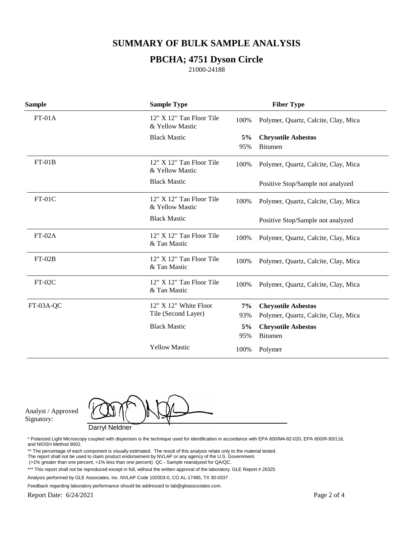#### **PBCHA; 4751 Dyson Circle**

21000-24188

| <b>Sample</b> | <b>Sample Type</b>                            |      | <b>Fiber Type</b>                    |
|---------------|-----------------------------------------------|------|--------------------------------------|
| $FT-01A$      | $12" X 12"$ Tan Floor Tile<br>& Yellow Mastic | 100% | Polymer, Quartz, Calcite, Clay, Mica |
|               | <b>Black Mastic</b>                           | 5%   | <b>Chrysotile Asbestos</b>           |
|               |                                               | 95%  | <b>Bitumen</b>                       |
| $FT-01B$      | 12" X 12" Tan Floor Tile<br>& Yellow Mastic   | 100% | Polymer, Quartz, Calcite, Clay, Mica |
|               | <b>Black Mastic</b>                           |      | Positive Stop/Sample not analyzed    |
| $FT-01C$      | $12" X 12"$ Tan Floor Tile<br>& Yellow Mastic | 100% | Polymer, Quartz, Calcite, Clay, Mica |
|               | <b>Black Mastic</b>                           |      | Positive Stop/Sample not analyzed    |
| $FT-02A$      | 12" X 12" Tan Floor Tile<br>& Tan Mastic      | 100% | Polymer, Quartz, Calcite, Clay, Mica |
| $FT-02B$      | $12" X 12"$ Tan Floor Tile<br>& Tan Mastic    | 100% | Polymer, Quartz, Calcite, Clay, Mica |
| $FT-02C$      | $12" X 12"$ Tan Floor Tile<br>& Tan Mastic    | 100% | Polymer, Quartz, Calcite, Clay, Mica |
| FT-03A-QC     | 12" X 12" White Floor                         | 7%   | <b>Chrysotile Asbestos</b>           |
|               | Tile (Second Layer)                           | 93%  | Polymer, Quartz, Calcite, Clay, Mica |
|               | <b>Black Mastic</b>                           | 5%   | <b>Chrysotile Asbestos</b>           |
|               |                                               | 95%  | <b>Bitumen</b>                       |
|               | <b>Yellow Mastic</b>                          | 100% | Polymer                              |

Analyst / Approved Signatory:

Darryl Neldner

\* Polarized Light Microscopy coupled with dispersion is the technique used for identification in accordance with EPA 600/M4-82-020, EPA 600/R-93/116, and NIOSH Method 9002.

\*\* The percentage of each component is visually estimated. The result of this analysis relate only to the material tested.

- The report shall not be used to claim product endorsement by NVLAP or any agency of the U.S. Government.
- (>1% greater than one percent, <1% less than one percent) QC Sample reanalyzed for QA/QC.

Analysis performed by GLE Associates, Inc. NVLAP Code 102003-0, CO AL-17485, TX 30-0337

Feedback regarding laboratory performance should be addressed to lab@gleassociates.com.

Report Date: 6/24/2021

<sup>\*\*\*</sup> This report shall not be reproduced except in full, without the written approval of the laboratory. GLE Report # 26325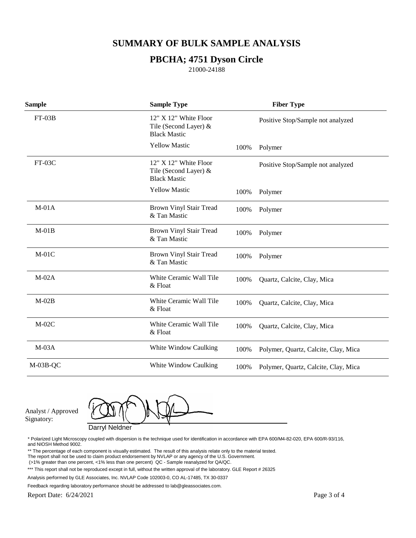#### **PBCHA; 4751 Dyson Circle**

21000-24188

| <b>Sample</b> | <b>Sample Type</b>                                                      |      | <b>Fiber Type</b>                    |
|---------------|-------------------------------------------------------------------------|------|--------------------------------------|
| $FT-03B$      | $12" X 12"$ White Floor<br>Tile (Second Layer) &<br><b>Black Mastic</b> |      | Positive Stop/Sample not analyzed    |
|               | <b>Yellow Mastic</b>                                                    | 100% | Polymer                              |
| $FT-03C$      | 12" X 12" White Floor<br>Tile (Second Layer) &<br><b>Black Mastic</b>   |      | Positive Stop/Sample not analyzed    |
|               | <b>Yellow Mastic</b>                                                    | 100% | Polymer                              |
| $M-01A$       | Brown Vinyl Stair Tread<br>& Tan Mastic                                 | 100% | Polymer                              |
| $M-01B$       | Brown Vinyl Stair Tread<br>& Tan Mastic                                 | 100% | Polymer                              |
| $M-01C$       | Brown Vinyl Stair Tread<br>& Tan Mastic                                 | 100% | Polymer                              |
| $M-02A$       | White Ceramic Wall Tile<br>& Float                                      | 100% | Quartz, Calcite, Clay, Mica          |
| $M-02B$       | White Ceramic Wall Tile<br>& Float                                      | 100% | Quartz, Calcite, Clay, Mica          |
| $M-02C$       | White Ceramic Wall Tile<br>& Float                                      | 100% | Quartz, Calcite, Clay, Mica          |
| $M-03A$       | White Window Caulking                                                   | 100% | Polymer, Quartz, Calcite, Clay, Mica |
| $M-03B-QC$    | White Window Caulking                                                   | 100% | Polymer, Quartz, Calcite, Clay, Mica |

Analyst / Approved Signatory:

Darryl Neldner

\* Polarized Light Microscopy coupled with dispersion is the technique used for identification in accordance with EPA 600/M4-82-020, EPA 600/R-93/116, and NIOSH Method 9002.

\*\* The percentage of each component is visually estimated. The result of this analysis relate only to the material tested.

- The report shall not be used to claim product endorsement by NVLAP or any agency of the U.S. Government.
- (>1% greater than one percent, <1% less than one percent) QC Sample reanalyzed for QA/QC.

Feedback regarding laboratory performance should be addressed to lab@gleassociates.com.

<sup>\*\*\*</sup> This report shall not be reproduced except in full, without the written approval of the laboratory. GLE Report # 26325

Analysis performed by GLE Associates, Inc. NVLAP Code 102003-0, CO AL-17485, TX 30-0337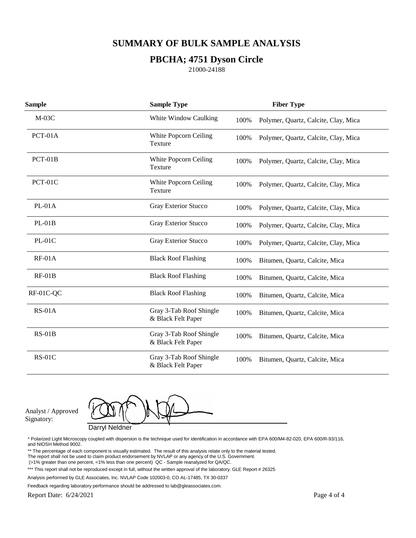#### **PBCHA; 4751 Dyson Circle**

21000-24188

| <b>Sample</b> | <b>Sample Type</b>                            |      | <b>Fiber Type</b>                    |
|---------------|-----------------------------------------------|------|--------------------------------------|
| $M-03C$       | White Window Caulking                         | 100% | Polymer, Quartz, Calcite, Clay, Mica |
| PCT-01A       | White Popcorn Ceiling<br>Texture              | 100% | Polymer, Quartz, Calcite, Clay, Mica |
| $PCT-01B$     | White Popcorn Ceiling<br>Texture              | 100% | Polymer, Quartz, Calcite, Clay, Mica |
| PCT-01C       | White Popcorn Ceiling<br>Texture              | 100% | Polymer, Quartz, Calcite, Clay, Mica |
| $PL-01A$      | Gray Exterior Stucco                          | 100% | Polymer, Quartz, Calcite, Clay, Mica |
| $PL-01B$      | Gray Exterior Stucco                          | 100% | Polymer, Quartz, Calcite, Clay, Mica |
| $PL-01C$      | Gray Exterior Stucco                          | 100% | Polymer, Quartz, Calcite, Clay, Mica |
| $RF-01A$      | <b>Black Roof Flashing</b>                    | 100% | Bitumen, Quartz, Calcite, Mica       |
| $RF-01B$      | <b>Black Roof Flashing</b>                    | 100% | Bitumen, Quartz, Calcite, Mica       |
| RF-01C-QC     | <b>Black Roof Flashing</b>                    | 100% | Bitumen, Quartz, Calcite, Mica       |
| $RS-01A$      | Gray 3-Tab Roof Shingle<br>& Black Felt Paper | 100% | Bitumen, Quartz, Calcite, Mica       |
| $RS-01B$      | Gray 3-Tab Roof Shingle<br>& Black Felt Paper | 100% | Bitumen, Quartz, Calcite, Mica       |
| $RS-01C$      | Gray 3-Tab Roof Shingle<br>& Black Felt Paper | 100% | Bitumen, Quartz, Calcite, Mica       |

Analyst / Approved Signatory:

Darryl Neldner

\* Polarized Light Microscopy coupled with dispersion is the technique used for identification in accordance with EPA 600/M4-82-020, EPA 600/R-93/116, and NIOSH Method 9002.

\*\* The percentage of each component is visually estimated. The result of this analysis relate only to the material tested.

- The report shall not be used to claim product endorsement by NVLAP or any agency of the U.S. Government.
- (>1% greater than one percent, <1% less than one percent) QC Sample reanalyzed for QA/QC.

Analysis performed by GLE Associates, Inc. NVLAP Code 102003-0, CO AL-17485, TX 30-0337

Feedback regarding laboratory performance should be addressed to lab@gleassociates.com.

<sup>\*\*\*</sup> This report shall not be reproduced except in full, without the written approval of the laboratory. GLE Report # 26325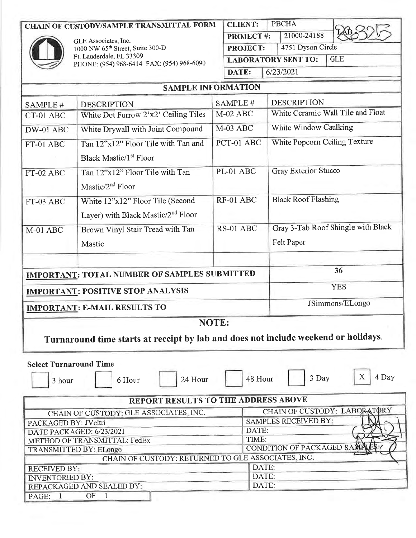#### **CHAIN OF CUSTODY/SAMPLE TRANSMITTAL FORM**



GLE Associates, Inc.<br>1000 NW 65<sup>th</sup> Street, Suite 300-D Ft. Lauderdale, FL 33309<br>PHONE: (954) 968-6414 FAX: (954) 968-6090

| <b>CLIENT:</b>   | <b>PBCHA</b>               |  |     |
|------------------|----------------------------|--|-----|
| <b>PROJECT#:</b> | 21000-24188                |  |     |
| <b>PROJECT:</b>  | 4751 Dyson Circle          |  |     |
|                  | <b>LABORATORY SENT TO:</b> |  | GLE |
| DATE:            | 6/23/2021                  |  |     |

| <b>SAMPLE INFORMATION</b>                                                                      |                                                                           |            |                                    |  |  |
|------------------------------------------------------------------------------------------------|---------------------------------------------------------------------------|------------|------------------------------------|--|--|
| SAMPLE#                                                                                        | <b>DESCRIPTION</b>                                                        | SAMPLE #   | <b>DESCRIPTION</b>                 |  |  |
| CT-01 ABC                                                                                      | White Dot Furrow 2'x2' Ceiling Tiles                                      | $M-02$ ABC | White Ceramic Wall Tile and Float  |  |  |
| DW-01 ABC                                                                                      | White Drywall with Joint Compound                                         | $M-03$ ABC | White Window Caulking              |  |  |
| FT-01 ABC                                                                                      | Tan 12"x12" Floor Tile with Tan and<br>Black Mastic/1st Floor             | PCT-01 ABC | White Popcorn Ceiling Texture      |  |  |
| FT-02 ABC                                                                                      | Tan 12"x12" Floor Tile with Tan<br>Mastic/ $2nd$ Floor                    | PL-01 ABC  | <b>Gray Exterior Stucco</b>        |  |  |
| FT-03 ABC                                                                                      | White 12"x12" Floor Tile (Second<br>Layer) with Black Mastic/ $2nd$ Floor | RF-01 ABC  | <b>Black Roof Flashing</b>         |  |  |
| $M-01$ ABC                                                                                     | Brown Vinyl Stair Tread with Tan                                          | RS-01 ABC  | Gray 3-Tab Roof Shingle with Black |  |  |
|                                                                                                | Mastic                                                                    |            | Felt Paper                         |  |  |
|                                                                                                | <b>IMPORTANT: TOTAL NUMBER OF SAMPLES SUBMITTED</b>                       |            | 36                                 |  |  |
| <b>YES</b><br><b>IMPORTANT: POSITIVE STOP ANALYSIS</b>                                         |                                                                           |            |                                    |  |  |
|                                                                                                | <b>IMPORTANT: E-MAIL RESULTS TO</b>                                       |            | JSimmons/ELongo                    |  |  |
|                                                                                                |                                                                           | NOTE:      |                                    |  |  |
| Turnaround time starts at receipt by lab and does not include weekend or holidays.             |                                                                           |            |                                    |  |  |
| <b>Select Turnaround Time</b><br>X<br>4 Day<br>3 Day<br>48 Hour<br>24 Hour<br>6 Hour<br>3 hour |                                                                           |            |                                    |  |  |
| REPORT RESULTS TO THE ADDRESS ABOVE                                                            |                                                                           |            |                                    |  |  |

| CHAIN OF CUSTODY: GLE ASSOCIATES, INC.             | CHAIN OF CUSTODY: LABORATORY |  |  |  |
|----------------------------------------------------|------------------------------|--|--|--|
| PACKAGED BY: JVeltri                               | <b>SAMPLES RECEIVED BY:</b>  |  |  |  |
| DATE PACKAGED: 6/23/2021                           | DATE:                        |  |  |  |
| METHOD OF TRANSMITTAL: FedEx                       | TIME:                        |  |  |  |
| <b>TRANSMITTED BY: ELongo</b>                      | CONDITION OF PACKAGED SAMPL  |  |  |  |
| CHAIN OF CUSTODY: RETURNED TO GLE ASSOCIATES, INC. |                              |  |  |  |
| <b>RECEIVED BY:</b>                                | DATE:                        |  |  |  |
| <b>INVENTORIED BY:</b>                             | DATE:                        |  |  |  |
| REPACKAGED AND SEALED BY:                          | DATE:                        |  |  |  |
| OΕ<br>PAGE:                                        |                              |  |  |  |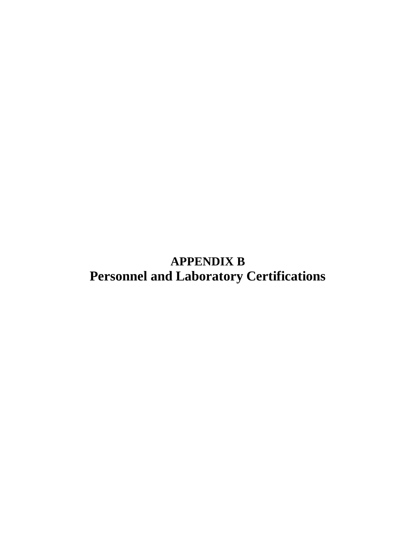**APPENDIX B Personnel and Laboratory Certifications**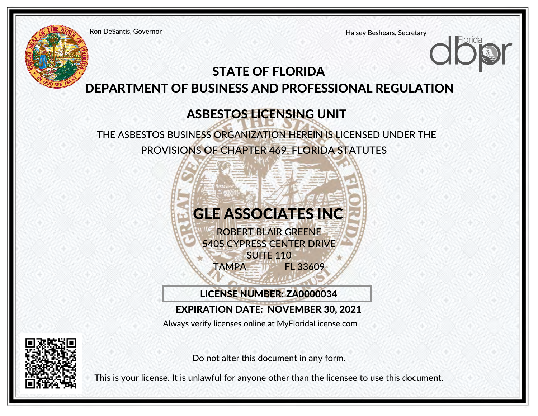Ron DeSantis, Governor

Halsey Beshears, Secretary

### STATE OF FLORIDA DEPARTMENT OF BUSINESS AND PROFESSIONAL REGULATION

### ASBESTOS LICENSING UNIT

THE ASBESTOS BUSINESS ORGANIZATION HEREIN IS LICENSED UNDER THEPROVISIONS OF CHAPTER 469, FLORIDA STATUTES



LICENSE NUMBER: ZA0000034

### EXPIRATION DATE: NOVEMBER 30, 2021

[Always verify licenses online at MyFloridaLicense.com](https://www.myfloridalicense.com/LicenseDetail.asp?SID=&id=2c9db36082555fee1afe88b159c9ca06)

Do not alter this document in any form.

This is your license. It is unlawful for anyone other than the licensee to use this document.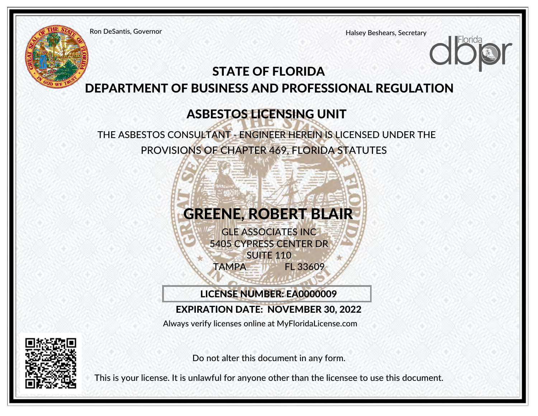Ron DeSantis, Governor

Halsey Beshears, Secretary

### STATE OF FLORIDA DEPARTMENT OF BUSINESS AND PROFESSIONAL REGULATION

### ASBESTOS LICENSING UNIT

THE ASBESTOS CONSULTANT - ENGINEER HEREIN IS LICENSED UNDER THEPROVISIONS OF CHAPTER 469, FLORIDA STATUTES



LICENSE NUMBER: EA0000009

### EXPIRATION DATE: NOVEMBER 30, 2022

[Always verify licenses online at MyFloridaLicense.com](https://www.myfloridalicense.com/LicenseDetail.asp?SID=&id=10324f95ba50b55978623c96241000ac)



Do not alter this document in any form.

This is your license. It is unlawful for anyone other than the licensee to use this document.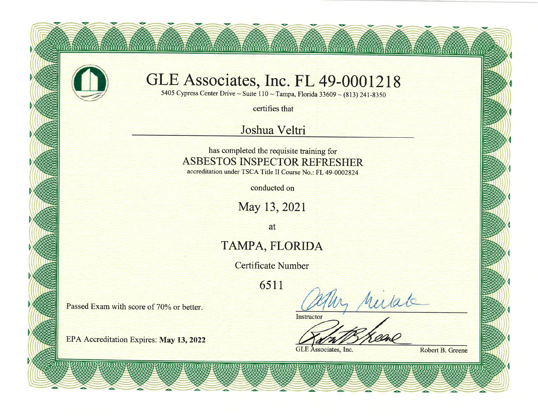

### GLE Associates, Inc. FL 49-0001218

WWW.ETERWWW.22ERWWW.22ERWWW.22ERWWW.22ERWWW.22ERWWW.22ERWWW.

5405 Cypress Center Drive ~ Suite  $110 - Tampa$ , Florida 33609 ~ (813) 241-8350

certifies that

### Joshua Veltri

has completed the requisite training for **ASBESTOS INSPECTOR REFRESHER** accreditation under TSCA Title II Course No.: FL 49-0002824

conducted on

May 13, 2021

at

### TAMPA, FLORIDA

**Certificate Number** 

6511

Passed Exam with score of 70% or better.

EPA Accreditation Expires: May 13, 2022

in Milate

Instructor

**GLE** Associates, Inc.

Robert B. Greene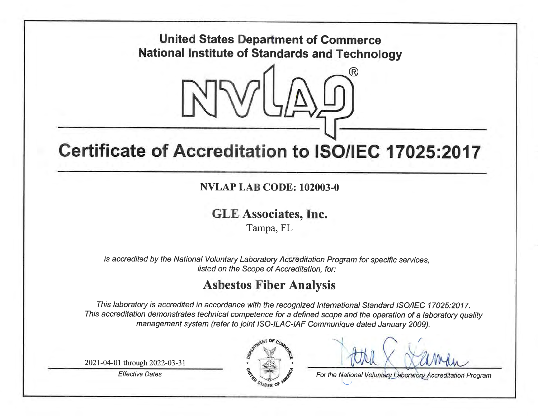### **United States Department of Commerce National Institute of Standards and Technology**



## Certificate of Accreditation to ISO/IEC 17025:2017

### **NVLAP LAB CODE: 102003-0**

### **GLE Associates, Inc.**

Tampa, FL

is accredited by the National Voluntary Laboratory Accreditation Program for specific services, listed on the Scope of Accreditation, for:

### **Asbestos Fiber Analysis**

This laboratory is accredited in accordance with the recognized International Standard ISO/IEC 17025:2017. This accreditation demonstrates technical competence for a defined scope and the operation of a laboratory quality management system (refer to joint ISO-ILAC-IAF Communique dated January 2009).

2021-04-01 through 2022-03-31

**Effective Dates** 



For the National Voluntary Laboratory Accreditation Program